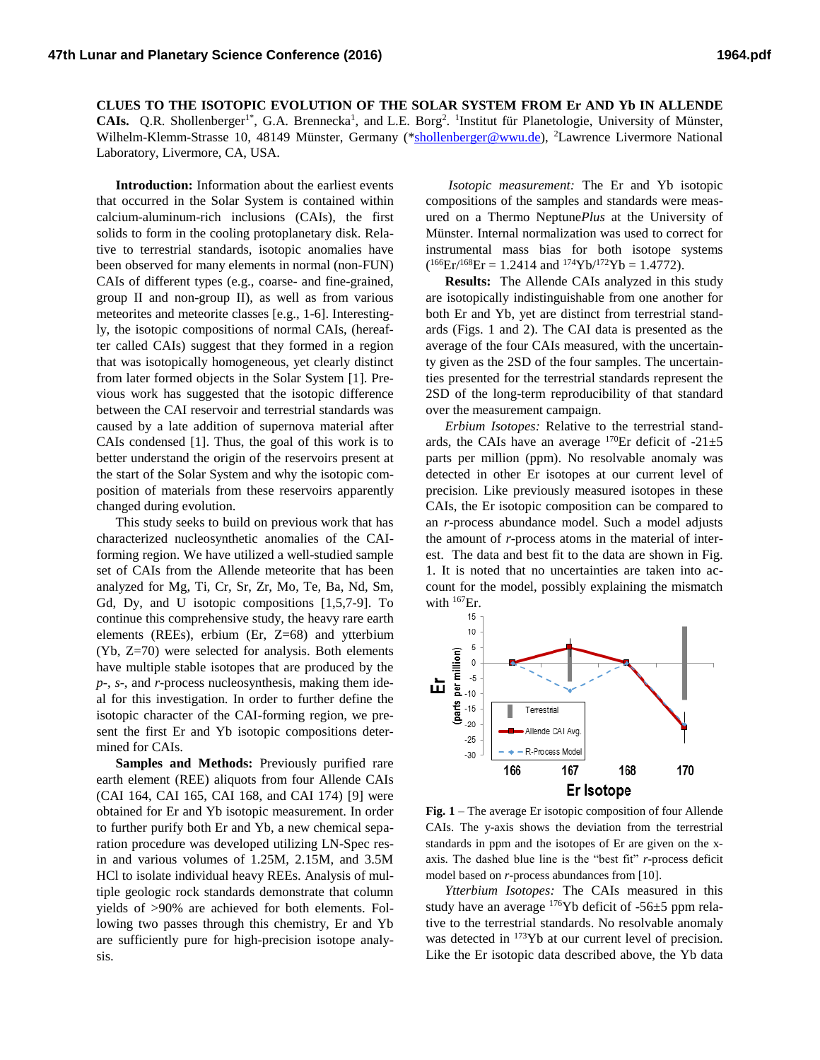**CLUES TO THE ISOTOPIC EVOLUTION OF THE SOLAR SYSTEM FROM Er AND Yb IN ALLENDE CAIs.** Q.R. Shollenberger<sup>1\*</sup>, G.A. Brennecka<sup>1</sup>, and L.E. Borg<sup>2</sup>. <sup>1</sup>Institut für Planetologie, University of Münster, Wilhelm-Klemm-Strasse 10, 48149 Münster, Germany ([\\*shollenberger@wwu.de\)](mailto:shollenberger@wwu.de), <sup>2</sup>Lawrence Livermore National Laboratory, Livermore, CA, USA.

**Introduction:** Information about the earliest events that occurred in the Solar System is contained within calcium-aluminum-rich inclusions (CAIs), the first solids to form in the cooling protoplanetary disk. Relative to terrestrial standards, isotopic anomalies have been observed for many elements in normal (non-FUN) CAIs of different types (e.g., coarse- and fine-grained, group II and non-group II), as well as from various meteorites and meteorite classes [e.g., 1-6]. Interestingly, the isotopic compositions of normal CAIs, (hereafter called CAIs) suggest that they formed in a region that was isotopically homogeneous, yet clearly distinct from later formed objects in the Solar System [1]. Previous work has suggested that the isotopic difference between the CAI reservoir and terrestrial standards was caused by a late addition of supernova material after CAIs condensed [1]. Thus, the goal of this work is to better understand the origin of the reservoirs present at the start of the Solar System and why the isotopic composition of materials from these reservoirs apparently changed during evolution.

This study seeks to build on previous work that has characterized nucleosynthetic anomalies of the CAIforming region. We have utilized a well-studied sample set of CAIs from the Allende meteorite that has been analyzed for Mg, Ti, Cr, Sr, Zr, Mo, Te, Ba, Nd, Sm, Gd, Dy, and U isotopic compositions [1,5,7-9]. To continue this comprehensive study, the heavy rare earth elements (REEs), erbium (Er, Z=68) and ytterbium (Yb, Z=70) were selected for analysis. Both elements have multiple stable isotopes that are produced by the *p*-, *s*-, and *r*-process nucleosynthesis, making them ideal for this investigation. In order to further define the isotopic character of the CAI-forming region, we present the first Er and Yb isotopic compositions determined for CAIs.

**Samples and Methods:** Previously purified rare earth element (REE) aliquots from four Allende CAIs (CAI 164, CAI 165, CAI 168, and CAI 174) [9] were obtained for Er and Yb isotopic measurement. In order to further purify both Er and Yb, a new chemical separation procedure was developed utilizing LN-Spec resin and various volumes of 1.25M, 2.15M, and 3.5M HCl to isolate individual heavy REEs. Analysis of multiple geologic rock standards demonstrate that column yields of >90% are achieved for both elements. Following two passes through this chemistry, Er and Yb are sufficiently pure for high-precision isotope analysis.

*Isotopic measurement:* The Er and Yb isotopic compositions of the samples and standards were measured on a Thermo Neptune*Plus* at the University of Münster. Internal normalization was used to correct for instrumental mass bias for both isotope systems  $(^{166}Er^{168}Er = 1.2414$  and  $^{174}Yb^{172}Yb = 1.4772$ ).

**Results:** The Allende CAIs analyzed in this study are isotopically indistinguishable from one another for both Er and Yb, yet are distinct from terrestrial standards (Figs. 1 and 2). The CAI data is presented as the average of the four CAIs measured, with the uncertainty given as the 2SD of the four samples. The uncertainties presented for the terrestrial standards represent the 2SD of the long-term reproducibility of that standard over the measurement campaign.

*Erbium Isotopes:* Relative to the terrestrial standards, the CAIs have an average  $170$ Er deficit of  $-21\pm5$ parts per million (ppm). No resolvable anomaly was detected in other Er isotopes at our current level of precision. Like previously measured isotopes in these CAIs, the Er isotopic composition can be compared to an *r*-process abundance model. Such a model adjusts the amount of *r*-process atoms in the material of interest. The data and best fit to the data are shown in Fig. 1. It is noted that no uncertainties are taken into account for the model, possibly explaining the mismatch with  $^{167}$ Er.



**Fig. 1** – The average Er isotopic composition of four Allende CAIs. The y-axis shows the deviation from the terrestrial standards in ppm and the isotopes of Er are given on the xaxis. The dashed blue line is the "best fit" *r*-process deficit model based on *r*-process abundances from [10].

*Ytterbium Isotopes:* The CAIs measured in this study have an average  $176$ Yb deficit of  $-56\pm 5$  ppm relative to the terrestrial standards. No resolvable anomaly was detected in <sup>173</sup>Yb at our current level of precision. Like the Er isotopic data described above, the Yb data